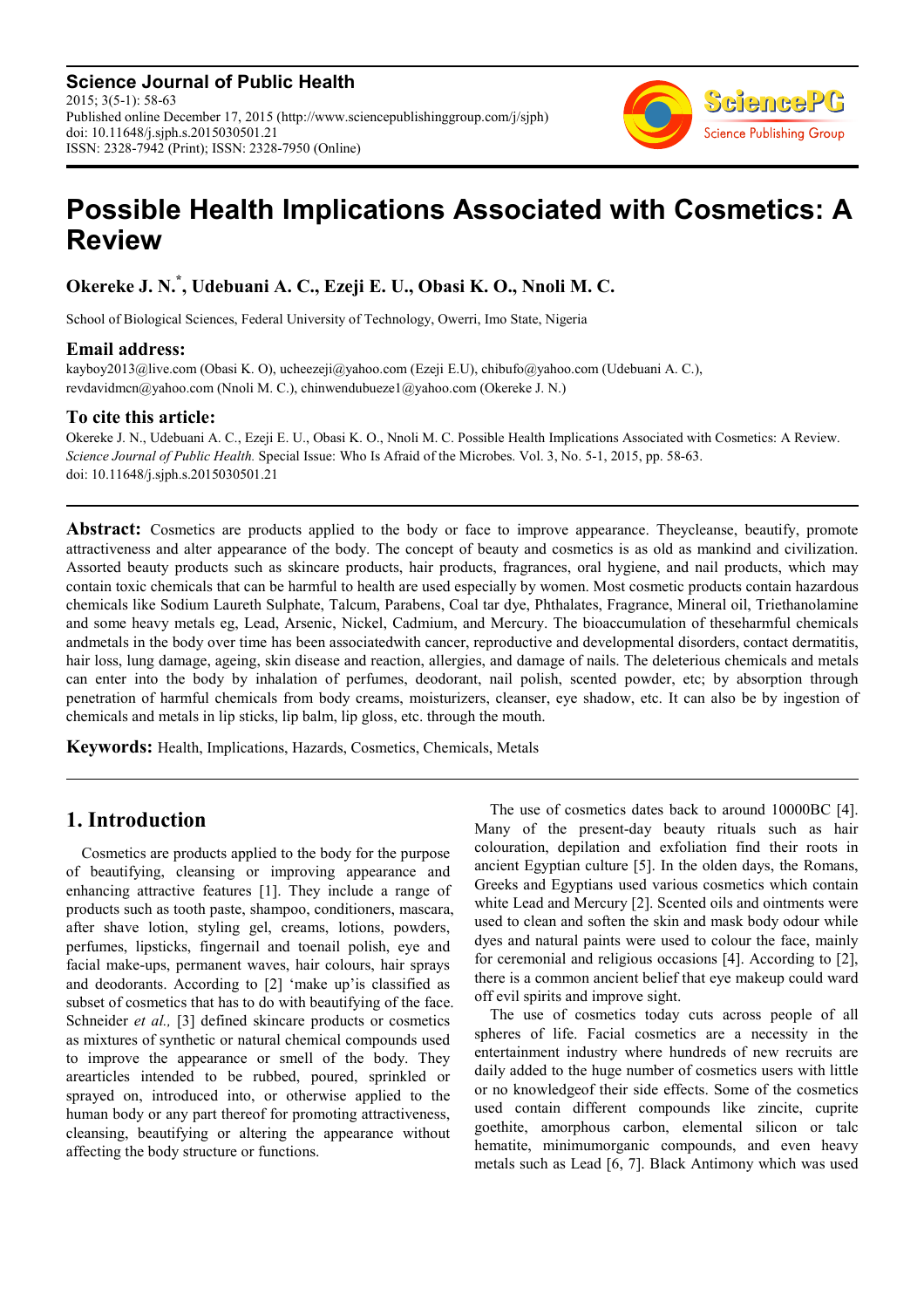**Science Journal of Public Health** 2015; 3(5-1): 58-63 Published online December 17, 2015 (http://www.sciencepublishinggroup.com/j/sjph) doi: 10.11648/j.sjph.s.2015030501.21 ISSN: 2328-7942 (Print); ISSN: 2328-7950 (Online)



# **Possible Health Implications Associated with Cosmetics: A Review**

**Okereke J. N.\* , Udebuani A. C., Ezeji E. U., Obasi K. O., Nnoli M. C.** 

School of Biological Sciences, Federal University of Technology, Owerri, Imo State, Nigeria

### **Email address:**

kayboy2013@live.com (Obasi K. O), ucheezeji@yahoo.com (Ezeji E.U), chibufo@yahoo.com (Udebuani A. C.), revdavidmcn@yahoo.com (Nnoli M. C.), chinwendubueze1@yahoo.com (Okereke J. N.)

# **To cite this article:**

Okereke J. N., Udebuani A. C., Ezeji E. U., Obasi K. O., Nnoli M. C. Possible Health Implications Associated with Cosmetics: A Review. *Science Journal of Public Health.* Special Issue: Who Is Afraid of the Microbes. Vol. 3, No. 5-1, 2015, pp. 58-63. doi: 10.11648/j.sjph.s.2015030501.21

**Abstract:** Cosmetics are products applied to the body or face to improve appearance. Theycleanse, beautify, promote attractiveness and alter appearance of the body. The concept of beauty and cosmetics is as old as mankind and civilization. Assorted beauty products such as skincare products, hair products, fragrances, oral hygiene, and nail products, which may contain toxic chemicals that can be harmful to health are used especially by women. Most cosmetic products contain hazardous chemicals like Sodium Laureth Sulphate, Talcum, Parabens, Coal tar dye, Phthalates, Fragrance, Mineral oil, Triethanolamine and some heavy metals eg, Lead, Arsenic, Nickel, Cadmium, and Mercury. The bioaccumulation of theseharmful chemicals andmetals in the body over time has been associatedwith cancer, reproductive and developmental disorders, contact dermatitis, hair loss, lung damage, ageing, skin disease and reaction, allergies, and damage of nails. The deleterious chemicals and metals can enter into the body by inhalation of perfumes, deodorant, nail polish, scented powder, etc; by absorption through penetration of harmful chemicals from body creams, moisturizers, cleanser, eye shadow, etc. It can also be by ingestion of chemicals and metals in lip sticks, lip balm, lip gloss, etc. through the mouth.

**Keywords:** Health, Implications, Hazards, Cosmetics, Chemicals, Metals

# **1. Introduction**

Cosmetics are products applied to the body for the purpose of beautifying, cleansing or improving appearance and enhancing attractive features [1]. They include a range of products such as tooth paste, shampoo, conditioners, mascara, after shave lotion, styling gel, creams, lotions, powders, perfumes, lipsticks, fingernail and toenail polish, eye and facial make-ups, permanent waves, hair colours, hair sprays and deodorants. According to [2] 'make up'is classified as subset of cosmetics that has to do with beautifying of the face. Schneider *et al.*, [3] defined skincare products or cosmetics as mixtures of synthetic or natural chemical compounds used to improve the appearance or smell of the body. They arearticles intended to be rubbed, poured, sprinkled or sprayed on, introduced into, or otherwise applied to the human body or any part thereof for promoting attractiveness, cleansing, beautifying or altering the appearance without affecting the body structure or functions.

The use of cosmetics dates back to around 10000BC [4]. Many of the present-day beauty rituals such as hair colouration, depilation and exfoliation find their roots in ancient Egyptian culture [5]. In the olden days, the Romans, Greeks and Egyptians used various cosmetics which contain white Lead and Mercury [2]. Scented oils and ointments were used to clean and soften the skin and mask body odour while dyes and natural paints were used to colour the face, mainly for ceremonial and religious occasions [4]. According to [2], there is a common ancient belief that eye makeup could ward off evil spirits and improve sight.

The use of cosmetics today cuts across people of all spheres of life. Facial cosmetics are a necessity in the entertainment industry where hundreds of new recruits are daily added to the huge number of cosmetics users with little or no knowledgeof their side effects. Some of the cosmetics used contain different compounds like zincite, cuprite goethite, amorphous carbon, elemental silicon or talc hematite, minimumorganic compounds, and even heavy metals such as Lead [6, 7]. Black Antimony which was used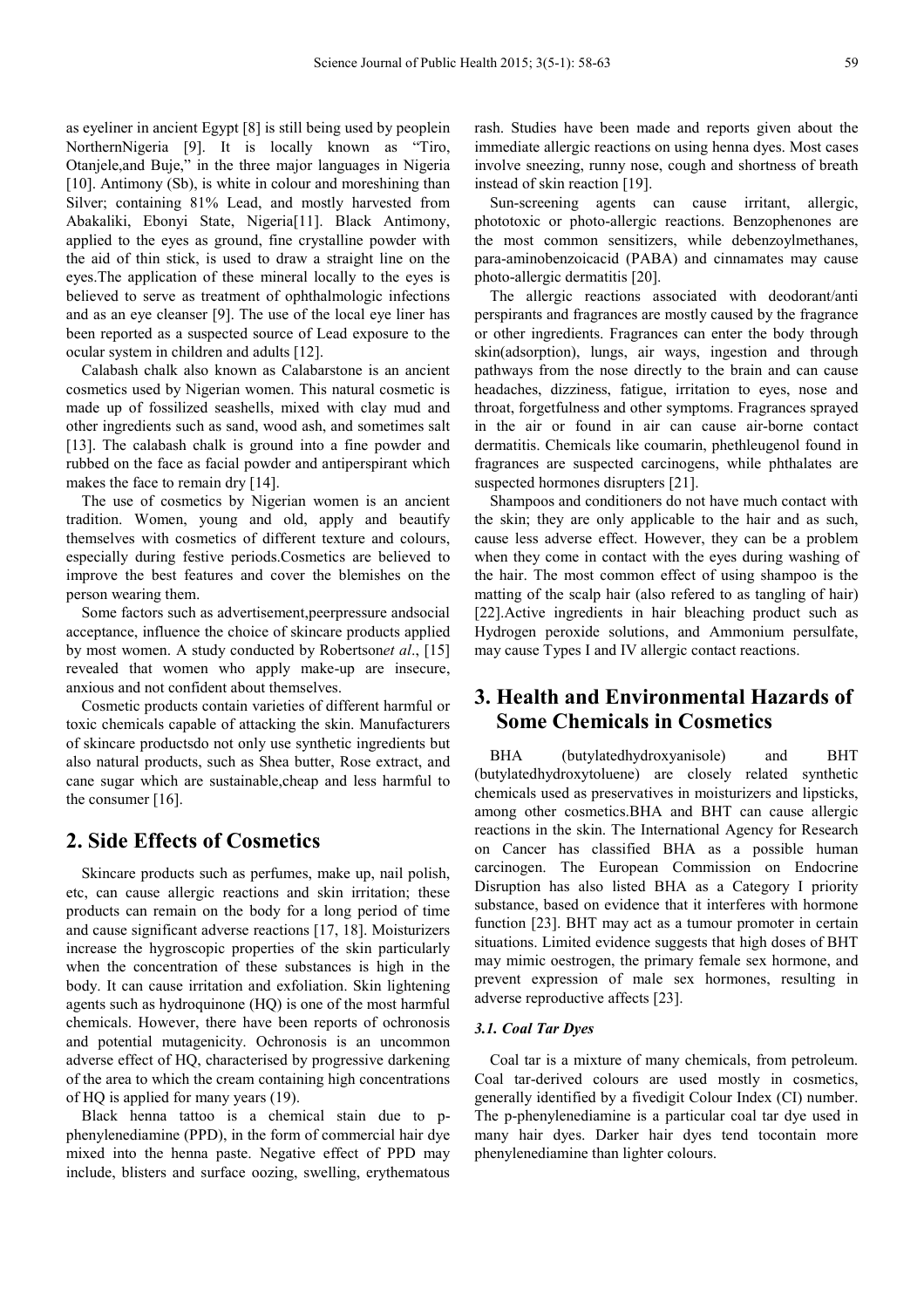as eyeliner in ancient Egypt [8] is still being used by peoplein NorthernNigeria [9]. It is locally known as "Tiro, Otanjele,and Buje," in the three major languages in Nigeria [10]. Antimony (Sb), is white in colour and moreshining than Silver; containing 81% Lead, and mostly harvested from Abakaliki, Ebonyi State, Nigeria[11]. Black Antimony, applied to the eyes as ground, fine crystalline powder with the aid of thin stick, is used to draw a straight line on the eyes.The application of these mineral locally to the eyes is believed to serve as treatment of ophthalmologic infections and as an eye cleanser [9]. The use of the local eye liner has been reported as a suspected source of Lead exposure to the ocular system in children and adults [12].

Calabash chalk also known as Calabarstone is an ancient cosmetics used by Nigerian women. This natural cosmetic is made up of fossilized seashells, mixed with clay mud and other ingredients such as sand, wood ash, and sometimes salt [13]. The calabash chalk is ground into a fine powder and rubbed on the face as facial powder and antiperspirant which makes the face to remain dry [14].

The use of cosmetics by Nigerian women is an ancient tradition. Women, young and old, apply and beautify themselves with cosmetics of different texture and colours, especially during festive periods.Cosmetics are believed to improve the best features and cover the blemishes on the person wearing them.

Some factors such as advertisement,peerpressure andsocial acceptance, influence the choice of skincare products applied by most women. A study conducted by Robertson*et al*., [15] revealed that women who apply make-up are insecure, anxious and not confident about themselves.

Cosmetic products contain varieties of different harmful or toxic chemicals capable of attacking the skin. Manufacturers of skincare productsdo not only use synthetic ingredients but also natural products, such as Shea butter, Rose extract, and cane sugar which are sustainable,cheap and less harmful to the consumer [16].

# **2. Side Effects of Cosmetics**

Skincare products such as perfumes, make up, nail polish, etc, can cause allergic reactions and skin irritation; these products can remain on the body for a long period of time and cause significant adverse reactions [17, 18]. Moisturizers increase the hygroscopic properties of the skin particularly when the concentration of these substances is high in the body. It can cause irritation and exfoliation. Skin lightening agents such as hydroquinone (HQ) is one of the most harmful chemicals. However, there have been reports of ochronosis and potential mutagenicity. Ochronosis is an uncommon adverse effect of HQ, characterised by progressive darkening of the area to which the cream containing high concentrations of HQ is applied for many years (19).

Black henna tattoo is a chemical stain due to pphenylenediamine (PPD), in the form of commercial hair dye mixed into the henna paste. Negative effect of PPD may include, blisters and surface oozing, swelling, erythematous

rash. Studies have been made and reports given about the immediate allergic reactions on using henna dyes. Most cases involve sneezing, runny nose, cough and shortness of breath instead of skin reaction [19].

Sun-screening agents can cause irritant, allergic, phototoxic or photo-allergic reactions. Benzophenones are the most common sensitizers, while debenzoylmethanes, para-aminobenzoicacid (PABA) and cinnamates may cause photo-allergic dermatitis [20].

The allergic reactions associated with deodorant/anti perspirants and fragrances are mostly caused by the fragrance or other ingredients. Fragrances can enter the body through skin(adsorption), lungs, air ways, ingestion and through pathways from the nose directly to the brain and can cause headaches, dizziness, fatigue, irritation to eyes, nose and throat, forgetfulness and other symptoms. Fragrances sprayed in the air or found in air can cause air-borne contact dermatitis. Chemicals like coumarin, phethleugenol found in fragrances are suspected carcinogens, while phthalates are suspected hormones disrupters [21].

Shampoos and conditioners do not have much contact with the skin; they are only applicable to the hair and as such, cause less adverse effect. However, they can be a problem when they come in contact with the eyes during washing of the hair. The most common effect of using shampoo is the matting of the scalp hair (also refered to as tangling of hair) [22].Active ingredients in hair bleaching product such as Hydrogen peroxide solutions, and Ammonium persulfate, may cause Types I and IV allergic contact reactions.

# **3. Health and Environmental Hazards of Some Chemicals in Cosmetics**

BHA (butylatedhydroxyanisole) and BHT (butylatedhydroxytoluene) are closely related synthetic chemicals used as preservatives in moisturizers and lipsticks, among other cosmetics.BHA and BHT can cause allergic reactions in the skin. The International Agency for Research on Cancer has classified BHA as a possible human carcinogen. The European Commission on Endocrine Disruption has also listed BHA as a Category I priority substance, based on evidence that it interferes with hormone function [23]. BHT may act as a tumour promoter in certain situations. Limited evidence suggests that high doses of BHT may mimic oestrogen, the primary female sex hormone, and prevent expression of male sex hormones, resulting in adverse reproductive affects [23].

### *3.1. Coal Tar Dyes*

Coal tar is a mixture of many chemicals, from petroleum. Coal tar-derived colours are used mostly in cosmetics, generally identified by a fivedigit Colour Index (CI) number. The p-phenylenediamine is a particular coal tar dye used in many hair dyes. Darker hair dyes tend tocontain more phenylenediamine than lighter colours.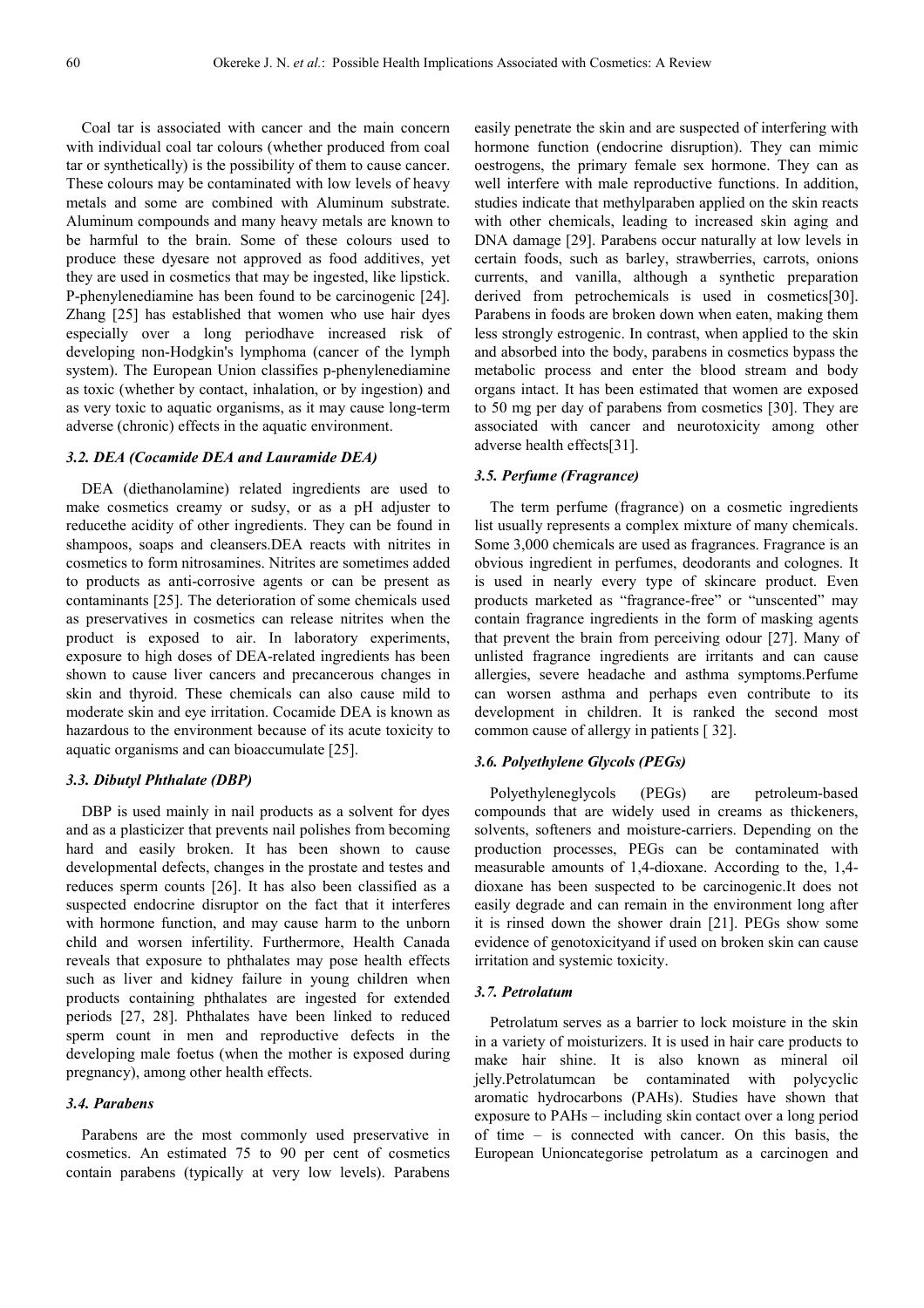Coal tar is associated with cancer and the main concern with individual coal tar colours (whether produced from coal tar or synthetically) is the possibility of them to cause cancer. These colours may be contaminated with low levels of heavy metals and some are combined with Aluminum substrate. Aluminum compounds and many heavy metals are known to be harmful to the brain. Some of these colours used to produce these dyesare not approved as food additives, yet they are used in cosmetics that may be ingested, like lipstick. P-phenylenediamine has been found to be carcinogenic [24]. Zhang [25] has established that women who use hair dyes especially over a long periodhave increased risk of developing non-Hodgkin's lymphoma (cancer of the lymph system). The European Union classifies p-phenylenediamine as toxic (whether by contact, inhalation, or by ingestion) and as very toxic to aquatic organisms, as it may cause long-term adverse (chronic) effects in the aquatic environment.

### *3.2. DEA (Cocamide DEA and Lauramide DEA)*

DEA (diethanolamine) related ingredients are used to make cosmetics creamy or sudsy, or as a pH adjuster to reducethe acidity of other ingredients. They can be found in shampoos, soaps and cleansers.DEA reacts with nitrites in cosmetics to form nitrosamines. Nitrites are sometimes added to products as anti-corrosive agents or can be present as contaminants [25]. The deterioration of some chemicals used as preservatives in cosmetics can release nitrites when the product is exposed to air. In laboratory experiments, exposure to high doses of DEA-related ingredients has been shown to cause liver cancers and precancerous changes in skin and thyroid. These chemicals can also cause mild to moderate skin and eye irritation. Cocamide DEA is known as hazardous to the environment because of its acute toxicity to aquatic organisms and can bioaccumulate [25].

#### *3.3. Dibutyl Phthalate (DBP)*

DBP is used mainly in nail products as a solvent for dyes and as a plasticizer that prevents nail polishes from becoming hard and easily broken. It has been shown to cause developmental defects, changes in the prostate and testes and reduces sperm counts [26]. It has also been classified as a suspected endocrine disruptor on the fact that it interferes with hormone function, and may cause harm to the unborn child and worsen infertility. Furthermore, Health Canada reveals that exposure to phthalates may pose health effects such as liver and kidney failure in young children when products containing phthalates are ingested for extended periods [27, 28]. Phthalates have been linked to reduced sperm count in men and reproductive defects in the developing male foetus (when the mother is exposed during pregnancy), among other health effects.

#### *3.4. Parabens*

Parabens are the most commonly used preservative in cosmetics. An estimated 75 to 90 per cent of cosmetics contain parabens (typically at very low levels). Parabens

easily penetrate the skin and are suspected of interfering with hormone function (endocrine disruption). They can mimic oestrogens, the primary female sex hormone. They can as well interfere with male reproductive functions. In addition, studies indicate that methylparaben applied on the skin reacts with other chemicals, leading to increased skin aging and DNA damage [29]. Parabens occur naturally at low levels in certain foods, such as barley, strawberries, carrots, onions currents, and vanilla, although a synthetic preparation derived from petrochemicals is used in cosmetics[30]. Parabens in foods are broken down when eaten, making them less strongly estrogenic. In contrast, when applied to the skin and absorbed into the body, parabens in cosmetics bypass the metabolic process and enter the blood stream and body organs intact. It has been estimated that women are exposed to 50 mg per day of parabens from cosmetics [30]. They are associated with cancer and neurotoxicity among other adverse health effects[31].

#### *3.5. Perfume (Fragrance)*

The term perfume (fragrance) on a cosmetic ingredients list usually represents a complex mixture of many chemicals. Some 3,000 chemicals are used as fragrances. Fragrance is an obvious ingredient in perfumes, deodorants and colognes. It is used in nearly every type of skincare product. Even products marketed as "fragrance-free" or "unscented" may contain fragrance ingredients in the form of masking agents that prevent the brain from perceiving odour [27]. Many of unlisted fragrance ingredients are irritants and can cause allergies, severe headache and asthma symptoms.Perfume can worsen asthma and perhaps even contribute to its development in children. It is ranked the second most common cause of allergy in patients [ 32].

#### *3.6. Polyethylene Glycols (PEGs)*

Polyethyleneglycols (PEGs) are petroleum-based compounds that are widely used in creams as thickeners, solvents, softeners and moisture-carriers. Depending on the production processes, PEGs can be contaminated with measurable amounts of 1,4-dioxane. According to the, 1,4 dioxane has been suspected to be carcinogenic.It does not easily degrade and can remain in the environment long after it is rinsed down the shower drain [21]. PEGs show some evidence of genotoxicityand if used on broken skin can cause irritation and systemic toxicity.

### *3.7. Petrolatum*

Petrolatum serves as a barrier to lock moisture in the skin in a variety of moisturizers. It is used in hair care products to make hair shine. It is also known as mineral oil jelly.Petrolatumcan be contaminated with polycyclic aromatic hydrocarbons (PAHs). Studies have shown that exposure to PAHs – including skin contact over a long period of time – is connected with cancer. On this basis, the European Unioncategorise petrolatum as a carcinogen and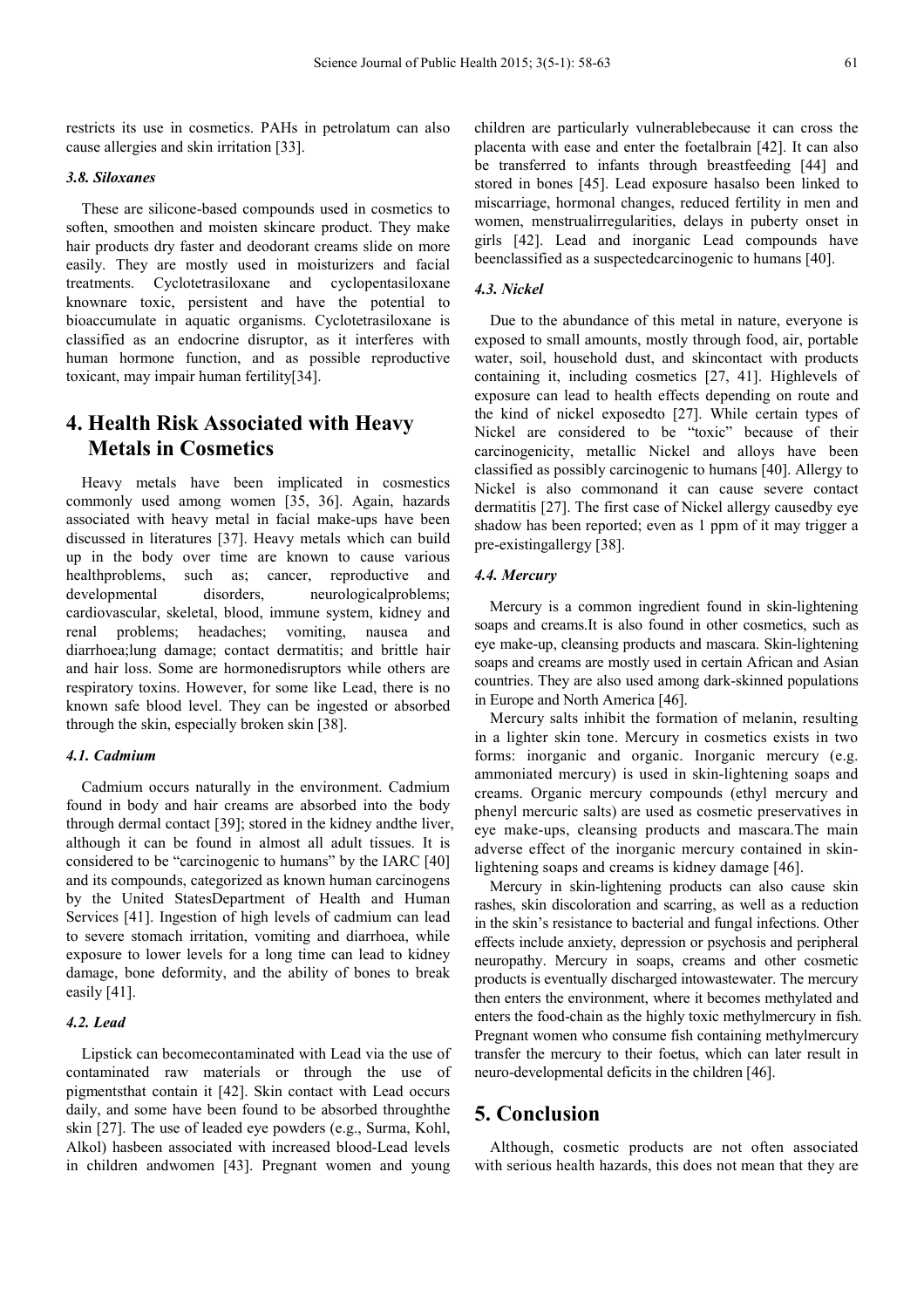restricts its use in cosmetics. PAHs in petrolatum can also cause allergies and skin irritation [33].

### *3.8. Siloxanes*

These are silicone-based compounds used in cosmetics to soften, smoothen and moisten skincare product. They make hair products dry faster and deodorant creams slide on more easily. They are mostly used in moisturizers and facial treatments. Cyclotetrasiloxane and cyclopentasiloxane knownare toxic, persistent and have the potential to bioaccumulate in aquatic organisms. Cyclotetrasiloxane is classified as an endocrine disruptor, as it interferes with human hormone function, and as possible reproductive toxicant, may impair human fertility[34].

# **4. Health Risk Associated with Heavy Metals in Cosmetics**

Heavy metals have been implicated in cosmestics commonly used among women [35, 36]. Again, hazards associated with heavy metal in facial make-ups have been discussed in literatures [37]. Heavy metals which can build up in the body over time are known to cause various healthproblems, such as; cancer, reproductive and developmental disorders, neurologicalproblems; cardiovascular, skeletal, blood, immune system, kidney and renal problems; headaches; vomiting, nausea and diarrhoea;lung damage; contact dermatitis; and brittle hair and hair loss. Some are hormonedisruptors while others are respiratory toxins. However, for some like Lead, there is no known safe blood level. They can be ingested or absorbed through the skin, especially broken skin [38].

### *4.1. Cadmium*

Cadmium occurs naturally in the environment. Cadmium found in body and hair creams are absorbed into the body through dermal contact [39]; stored in the kidney andthe liver, although it can be found in almost all adult tissues. It is considered to be "carcinogenic to humans" by the IARC [40] and its compounds, categorized as known human carcinogens by the United StatesDepartment of Health and Human Services [41]. Ingestion of high levels of cadmium can lead to severe stomach irritation, vomiting and diarrhoea, while exposure to lower levels for a long time can lead to kidney damage, bone deformity, and the ability of bones to break easily [41].

### *4.2. Lead*

Lipstick can becomecontaminated with Lead via the use of contaminated raw materials or through the use of pigmentsthat contain it [42]. Skin contact with Lead occurs daily, and some have been found to be absorbed throughthe skin [27]. The use of leaded eye powders (e.g., Surma, Kohl, Alkol) hasbeen associated with increased blood-Lead levels in children andwomen [43]. Pregnant women and young children are particularly vulnerablebecause it can cross the placenta with ease and enter the foetalbrain [42]. It can also be transferred to infants through breastfeeding [44] and stored in bones [45]. Lead exposure hasalso been linked to miscarriage, hormonal changes, reduced fertility in men and women, menstrualirregularities, delays in puberty onset in girls [42]. Lead and inorganic Lead compounds have beenclassified as a suspectedcarcinogenic to humans [40].

### *4.3. Nickel*

Due to the abundance of this metal in nature, everyone is exposed to small amounts, mostly through food, air, portable water, soil, household dust, and skincontact with products containing it, including cosmetics [27, 41]. Highlevels of exposure can lead to health effects depending on route and the kind of nickel exposedto [27]. While certain types of Nickel are considered to be "toxic" because of their carcinogenicity, metallic Nickel and alloys have been classified as possibly carcinogenic to humans [40]. Allergy to Nickel is also commonand it can cause severe contact dermatitis [27]. The first case of Nickel allergy causedby eye shadow has been reported; even as 1 ppm of it may trigger a pre-existingallergy [38].

### *4.4. Mercury*

Mercury is a common ingredient found in skin-lightening soaps and creams.It is also found in other cosmetics, such as eye make-up, cleansing products and mascara. Skin-lightening soaps and creams are mostly used in certain African and Asian countries. They are also used among dark-skinned populations in Europe and North America [46].

Mercury salts inhibit the formation of melanin, resulting in a lighter skin tone. Mercury in cosmetics exists in two forms: inorganic and organic. Inorganic mercury (e.g. ammoniated mercury) is used in skin-lightening soaps and creams. Organic mercury compounds (ethyl mercury and phenyl mercuric salts) are used as cosmetic preservatives in eye make-ups, cleansing products and mascara.The main adverse effect of the inorganic mercury contained in skinlightening soaps and creams is kidney damage [46].

Mercury in skin-lightening products can also cause skin rashes, skin discoloration and scarring, as well as a reduction in the skin's resistance to bacterial and fungal infections. Other effects include anxiety, depression or psychosis and peripheral neuropathy. Mercury in soaps, creams and other cosmetic products is eventually discharged intowastewater. The mercury then enters the environment, where it becomes methylated and enters the food-chain as the highly toxic methylmercury in fish. Pregnant women who consume fish containing methylmercury transfer the mercury to their foetus, which can later result in neuro-developmental deficits in the children [46].

# **5. Conclusion**

Although, cosmetic products are not often associated with serious health hazards, this does not mean that they are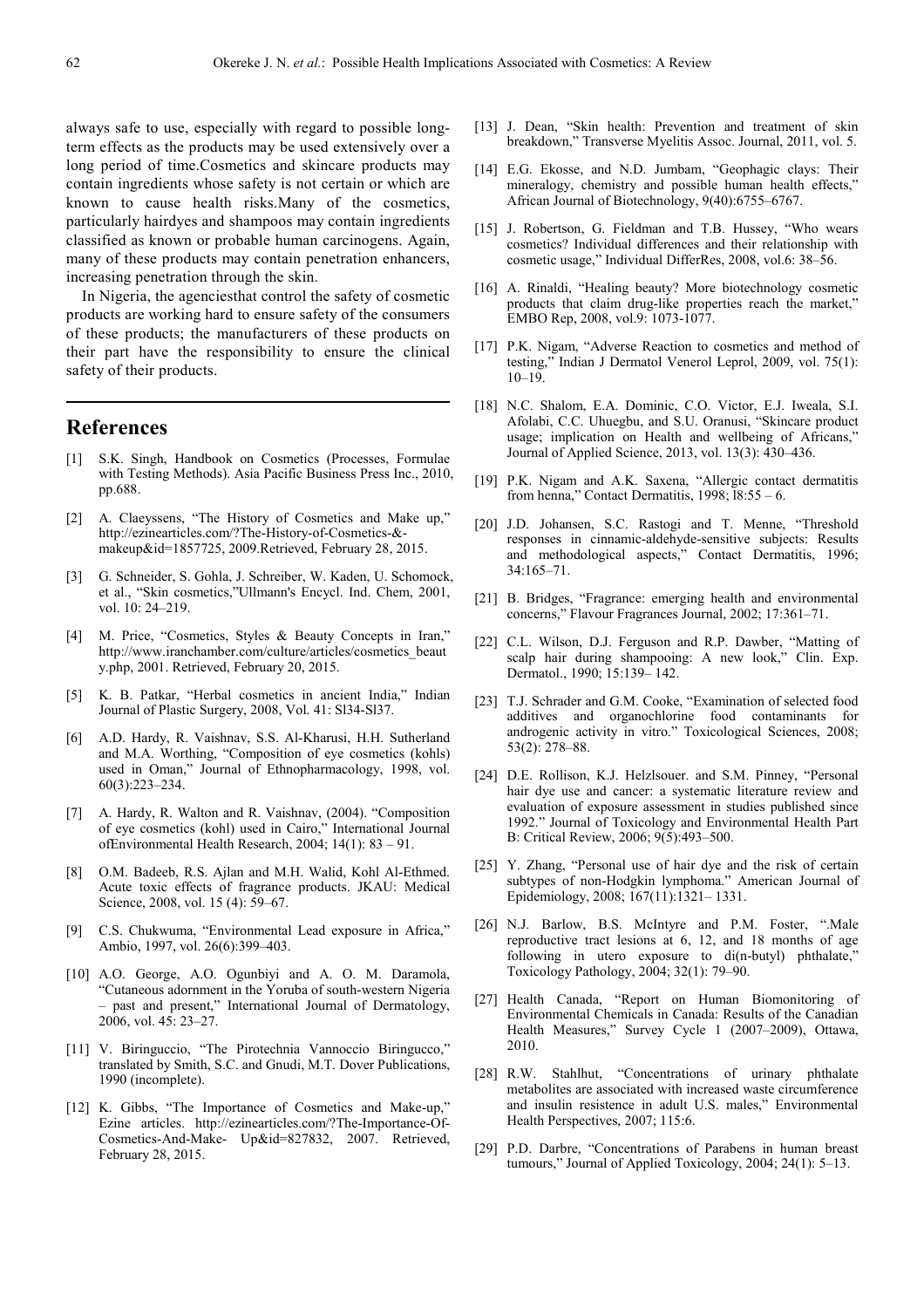always safe to use, especially with regard to possible longterm effects as the products may be used extensively over a long period of time.Cosmetics and skincare products may contain ingredients whose safety is not certain or which are known to cause health risks.Many of the cosmetics, particularly hairdyes and shampoos may contain ingredients classified as known or probable human carcinogens. Again, many of these products may contain penetration enhancers, increasing penetration through the skin.

In Nigeria, the agenciesthat control the safety of cosmetic products are working hard to ensure safety of the consumers of these products; the manufacturers of these products on their part have the responsibility to ensure the clinical safety of their products.

# **References**

- [1] S.K. Singh, Handbook on Cosmetics (Processes, Formulae with Testing Methods). Asia Pacific Business Press Inc., 2010, pp.688.
- [2] A. Claeyssens, "The History of Cosmetics and Make up," http://ezinearticles.com/?The-History-of-Cosmetics-& makeup&id=1857725, 2009.Retrieved, February 28, 2015.
- [3] G. Schneider, S. Gohla, J. Schreiber, W. Kaden, U. Schomock, et al., "Skin cosmetics,"Ullmann's Encycl. Ind. Chem, 2001, vol. 10: 24–219.
- [4] M. Price, "Cosmetics, Styles & Beauty Concepts in Iran," http://www.iranchamber.com/culture/articles/cosmetics\_beaut y.php, 2001. Retrieved, February 20, 2015.
- [5] K. B. Patkar, "Herbal cosmetics in ancient India," Indian Journal of Plastic Surgery, 2008, Vol. 41: Sl34-Sl37.
- [6] A.D. Hardy, R. Vaishnav, S.S. Al-Kharusi, H.H. Sutherland and M.A. Worthing, "Composition of eye cosmetics (kohls) used in Oman," Journal of Ethnopharmacology, 1998, vol. 60(3):223–234.
- [7] A. Hardy, R. Walton and R. Vaishnav, (2004). "Composition of eye cosmetics (kohl) used in Cairo," International Journal ofEnvironmental Health Research, 2004; 14(1): 83 – 91.
- [8] O.M. Badeeb, R.S. Ajlan and M.H. Walid, Kohl Al-Ethmed. Acute toxic effects of fragrance products. JKAU: Medical Science, 2008, vol. 15 (4): 59–67.
- [9] C.S. Chukwuma, "Environmental Lead exposure in Africa," Ambio, 1997, vol. 26(6):399–403.
- [10] A.O. George, A.O. Ogunbiyi and A. O. M. Daramola, "Cutaneous adornment in the Yoruba of south-western Nigeria – past and present," International Journal of Dermatology, 2006, vol. 45: 23–27.
- [11] V. Biringuccio, "The Pirotechnia Vannoccio Biringucco," translated by Smith, S.C. and Gnudi, M.T. Dover Publications, 1990 (incomplete).
- [12] K. Gibbs, "The Importance of Cosmetics and Make-up," Ezine articles. http://ezinearticles.com/?The-Importance-Of-Cosmetics-And-Make- Up&id=827832, 2007. Retrieved, February 28, 2015.
- [13] J. Dean, "Skin health: Prevention and treatment of skin breakdown," Transverse Myelitis Assoc. Journal, 2011, vol. 5.
- [14] E.G. Ekosse, and N.D. Jumbam, "Geophagic clays: Their mineralogy, chemistry and possible human health effects," African Journal of Biotechnology, 9(40):6755–6767.
- [15] J. Robertson, G. Fieldman and T.B. Hussey, "Who wears cosmetics? Individual differences and their relationship with cosmetic usage," Individual DifferRes, 2008, vol.6: 38–56.
- [16] A. Rinaldi, "Healing beauty? More biotechnology cosmetic products that claim drug-like properties reach the market," EMBO Rep, 2008, vol.9: 1073-1077.
- [17] P.K. Nigam, "Adverse Reaction to cosmetics and method of testing," Indian J Dermatol Venerol Leprol, 2009, vol. 75(1): 10–19.
- [18] N.C. Shalom, E.A. Dominic, C.O. Victor, E.J. Iweala, S.I. Afolabi, C.C. Uhuegbu, and S.U. Oranusi, "Skincare product usage; implication on Health and wellbeing of Africans," Journal of Applied Science, 2013, vol. 13(3): 430–436.
- [19] P.K. Nigam and A.K. Saxena, "Allergic contact dermatitis from henna," Contact Dermatitis,  $1998$ ;  $18:55 - 6$ .
- [20] J.D. Johansen, S.C. Rastogi and T. Menne, "Threshold responses in cinnamic-aldehyde-sensitive subjects: Results and methodological aspects," Contact Dermatitis, 1996; 34:165–71.
- [21] B. Bridges, "Fragrance: emerging health and environmental concerns," Flavour Fragrances Journal, 2002; 17:361–71.
- [22] C.L. Wilson, D.J. Ferguson and R.P. Dawber, "Matting of scalp hair during shampooing: A new look," Clin. Exp. Dermatol., 1990; 15:139– 142.
- [23] T.J. Schrader and G.M. Cooke, "Examination of selected food additives and organochlorine food contaminants for androgenic activity in vitro." Toxicological Sciences, 2008; 53(2): 278–88.
- [24] D.E. Rollison, K.J. Helzlsouer. and S.M. Pinney, "Personal hair dye use and cancer: a systematic literature review and evaluation of exposure assessment in studies published since 1992." Journal of Toxicology and Environmental Health Part B: Critical Review, 2006; 9(5):493–500.
- [25] Y. Zhang, "Personal use of hair dye and the risk of certain subtypes of non-Hodgkin lymphoma." American Journal of Epidemiology, 2008; 167(11):1321– 1331.
- [26] N.J. Barlow, B.S. McIntyre and P.M. Foster, ".Male reproductive tract lesions at 6, 12, and 18 months of age following in utero exposure to di(n-butyl) phthalate," Toxicology Pathology, 2004; 32(1): 79–90.
- [27] Health Canada, "Report on Human Biomonitoring of Environmental Chemicals in Canada: Results of the Canadian Health Measures," Survey Cycle 1 (2007–2009), Ottawa, 2010.
- [28] R.W. Stahlhut, "Concentrations of urinary phthalate metabolites are associated with increased waste circumference and insulin resistence in adult U.S. males," Environmental Health Perspectives, 2007; 115:6.
- [29] P.D. Darbre, "Concentrations of Parabens in human breast tumours," Journal of Applied Toxicology, 2004; 24(1): 5–13.